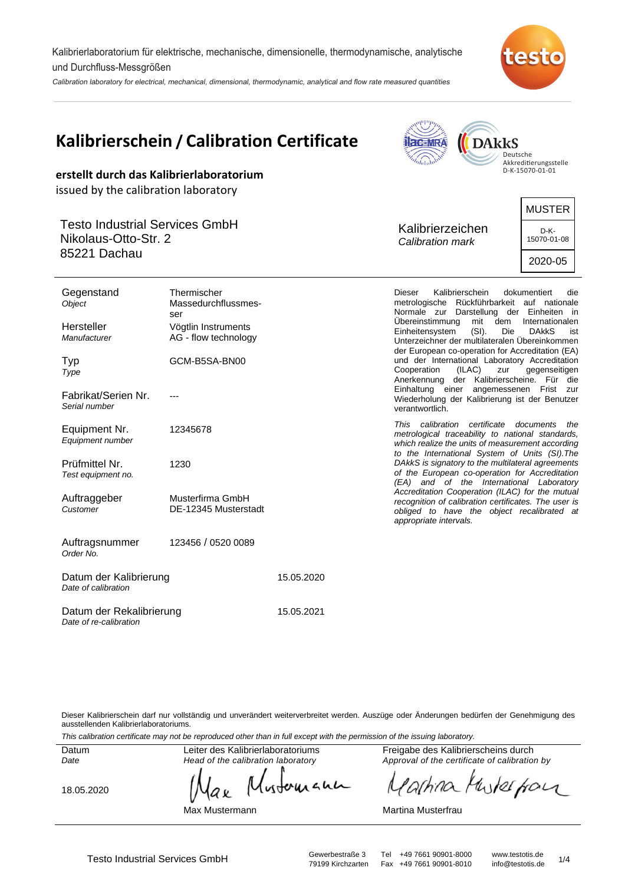Kalibrierlaboratorium für elektrische, mechanische, dimensionelle, thermodynamische, analytische und Durchfluss-Messgrößen

Calibration laboratory for electrical, mechanical, dimensional, thermodynamic, analytical and flow rate measured quantities



**AMPPILL** 

|                                                                                                                       | <b>Kalibrierschein / Calibration Certificate</b><br>erstellt durch das Kalibrierlaboratorium | <b>DARKS</b><br><b>Hac-MRA</b><br>Deutsche<br>"halabab<br>Akkreditierungsstelle<br>D-K-15070-01-01 |                                                                                                                                                                                                      |                                                 |
|-----------------------------------------------------------------------------------------------------------------------|----------------------------------------------------------------------------------------------|----------------------------------------------------------------------------------------------------|------------------------------------------------------------------------------------------------------------------------------------------------------------------------------------------------------|-------------------------------------------------|
| issued by the calibration laboratory<br><b>Testo Industrial Services GmbH</b><br>Nikolaus-Otto-Str. 2<br>85221 Dachau |                                                                                              |                                                                                                    | Kalibrierzeichen<br>Calibration mark                                                                                                                                                                 | <b>MUSTER</b><br>D-K-<br>15070-01-08<br>2020-05 |
| Gegenstand<br>Object                                                                                                  | Thermischer<br>Massedurchflussmes-<br>ser                                                    |                                                                                                    | <b>Dieser</b><br>Kalibrierschein<br>metrologische Rückführbarkeit auf nationale<br>Normale zur Darstellung der Einheiten in<br>Ubereinstimmung<br>mit<br>dem                                         | dokumentiert<br>die<br>Internationalen          |
| Hersteller<br>Manufacturer<br>Typ                                                                                     | Vögtlin Instruments<br>AG - flow technology<br>GCM-B5SA-BN00                                 |                                                                                                    | Einheitensystem<br>(SI).<br>Unterzeichner der multilateralen Übereinkommen<br>der European co-operation for Accreditation (EA)<br>und der International Laboratory Accreditation                     | Die<br><b>DAKKS</b><br>ist                      |
| Type<br>Fabrikat/Serien Nr.<br>Serial number                                                                          | $- - -$                                                                                      |                                                                                                    | Cooperation<br>(ILAC)<br>zur<br>Anerkennung der Kalibrierscheine. Für die<br>Einhaltung einer angemessenen Frist zur<br>Wiederholung der Kalibrierung ist der Benutzer<br>verantwortlich.            | gegenseitigen                                   |
| Equipment Nr.<br>Equipment number                                                                                     | 12345678                                                                                     |                                                                                                    | This calibration certificate documents the<br>metrological traceability to national standards,<br>which realize the units of measurement according<br>to the International System of Units (SI). The |                                                 |
| Prüfmittel Nr.<br>Test equipment no.                                                                                  | 1230                                                                                         |                                                                                                    | DAkkS is signatory to the multilateral agreements<br>of the European co-operation for Accreditation<br>(EA) and of the International Laboratory                                                      |                                                 |
| Auftraggeber<br>Customer                                                                                              | Musterfirma GmbH<br>DE-12345 Musterstadt                                                     |                                                                                                    | Accreditation Cooperation (ILAC) for the mutual<br>recognition of calibration certificates. The user is<br>obliged to have the object recalibrated at<br>appropriate intervals.                      |                                                 |
| Auftragsnummer<br>Order No.                                                                                           | 123456 / 0520 0089                                                                           |                                                                                                    |                                                                                                                                                                                                      |                                                 |
| Datum der Kalibrierung<br>Date of calibration                                                                         |                                                                                              | 15.05.2020                                                                                         |                                                                                                                                                                                                      |                                                 |
| Datum der Rekalibrierung<br>Date of re-calibration                                                                    |                                                                                              | 15.05.2021                                                                                         |                                                                                                                                                                                                      |                                                 |

Dieser Kalibrierschein darf nur vollständig und unverändert weiterverbreitet werden. Auszüge oder Änderungen bedürfen der Genehmigung des ausstellenden Kalibrierlaboratoriums.

This calibration certificate may not be reproduced other than in full except with the permission of the issuing laboratory.

Datum Date

Leiter des Kalibrierlaboratoriums Head of the calibration laboratory

18.05.2020

wherean аx

Freigabe des Kalibrierscheins durch Approval of the certificate of calibration by

the for 'arhina  $\sqrt{2}$ 

Max Mustermann

Martina Musterfrau

Fax +49 7661 90901-8010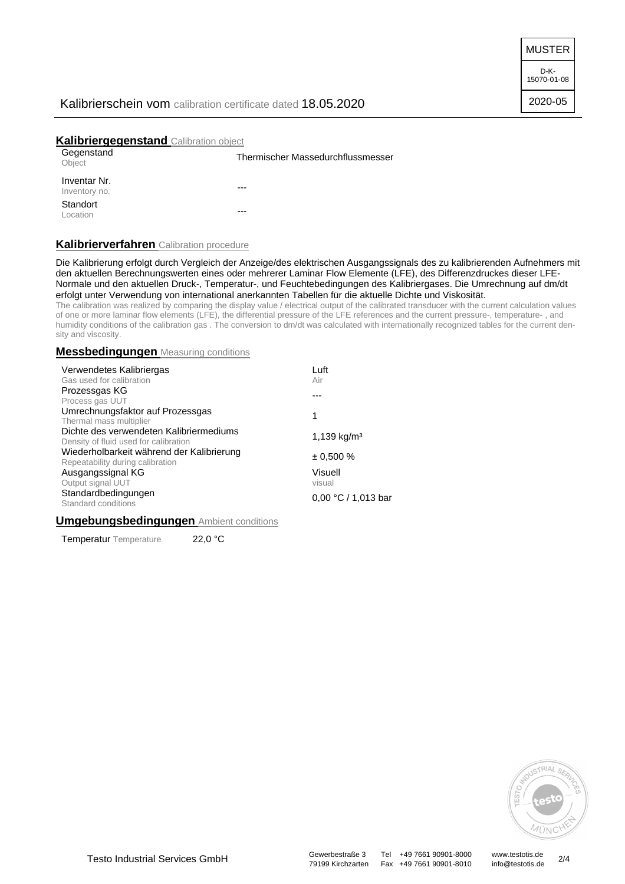MUSTER

D-K-15070-01-08 2020-05

## Kalibrierschein vom calibration certificate dated 18.05.2020

## **Kalibriergegenstand** Calibration object

| Gegenstand<br>Object          | Thermischer Massedurchflussmesser |  |
|-------------------------------|-----------------------------------|--|
| Inventar Nr.<br>Inventory no. | $---$                             |  |
| Standort<br>Location          | $--$                              |  |

### **Kalibrierverfahren** Calibration procedure

Die Kalibrierung erfolgt durch Vergleich der Anzeige/des elektrischen Ausgangssignals des zu kalibrierenden Aufnehmers mit den aktuellen Berechnungswerten eines oder mehrerer Laminar Flow Elemente (LFE), des Differenzdruckes dieser LFE-Normale und den aktuellen Druck-, Temperatur-, und Feuchtebedingungen des Kalibriergases. Die Umrechnung auf dm/dt erfolgt unter Verwendung von international anerkannten Tabellen für die aktuelle Dichte und Viskosität.

The calibration was realized by comparing the display value / electrical output of the calibrated transducer with the current calculation values of one or more laminar flow elements (LFE), the differential pressure of the LFE references and the current pressure-, temperature- , and humidity conditions of the calibration gas . The conversion to dm/dt was calculated with internationally recognized tables for the current density and viscosity.

#### **Messbedingungen** Measuring conditions

| Luft                    |  |
|-------------------------|--|
| Air                     |  |
|                         |  |
|                         |  |
| 1                       |  |
|                         |  |
| 1,139 kg/m <sup>3</sup> |  |
|                         |  |
| $\pm 0.500 \%$          |  |
|                         |  |
| Visuell                 |  |
| visual                  |  |
|                         |  |
| 0,00 °C / 1,013 bar     |  |
|                         |  |

#### **Umgebungsbedingungen** Ambient conditions

Temperatur Temperature 22,0 °C



79199 Kirchzarten Fax +49 7661 90901-8010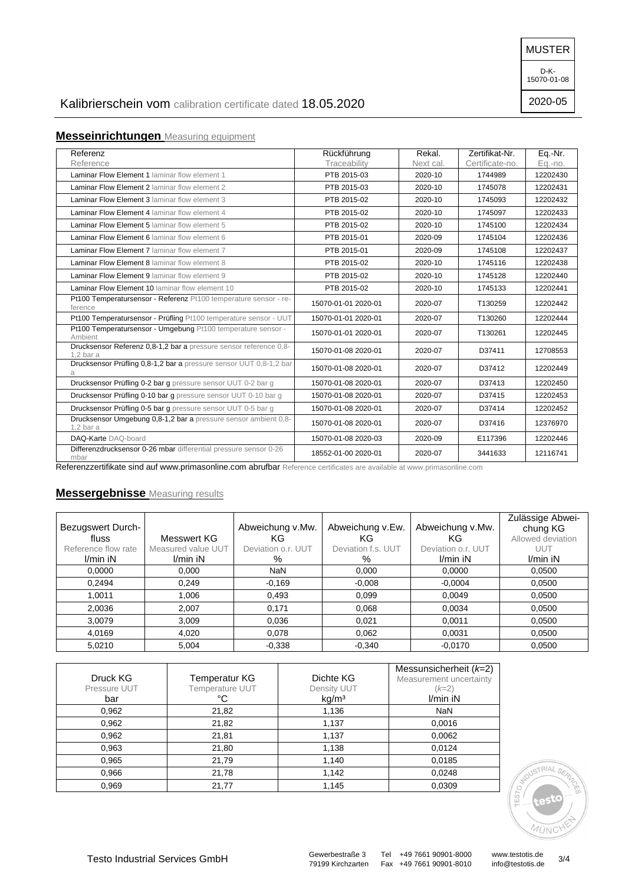MUSTER

D-K-15070-01-08

2020-05

# Kalibrierschein vom calibration certificate dated 18.05.2020

# **Messeinrichtungen** Measuring equipment

| Referenz                                                                        | Rückführung         | Rekal.    | Zertifikat-Nr.  | Eq.-Nr.  |
|---------------------------------------------------------------------------------|---------------------|-----------|-----------------|----------|
| Reference                                                                       | Traceability        | Next cal. | Certificate-no. | Eq.-no.  |
| Laminar Flow Element 1 laminar flow element 1                                   | PTB 2015-03         | 2020-10   | 1744989         | 12202430 |
| Laminar Flow Element 2 laminar flow element 2                                   | PTB 2015-03         | 2020-10   | 1745078         | 12202431 |
| Laminar Flow Element 3 laminar flow element 3                                   | PTB 2015-02         | 2020-10   | 1745093         | 12202432 |
| Laminar Flow Element 4 laminar flow element 4                                   | PTB 2015-02         | 2020-10   | 1745097         | 12202433 |
| <b>Laminar Flow Element 5 laminar flow element 5</b>                            | PTB 2015-02         | 2020-10   | 1745100         | 12202434 |
| Laminar Flow Element 6 laminar flow element 6                                   | PTB 2015-01         | 2020-09   | 1745104         | 12202436 |
| <b>Laminar Flow Element 7 laminar flow element 7</b>                            | PTB 2015-01         | 2020-09   | 1745108         | 12202437 |
| <b>Laminar Flow Element 8 laminar flow element 8</b>                            | PTB 2015-02         | 2020-10   | 1745116         | 12202438 |
| Laminar Flow Element 9 laminar flow element 9                                   | PTB 2015-02         | 2020-10   | 1745128         | 12202440 |
| Laminar Flow Element 10 laminar flow element 10                                 | PTB 2015-02         | 2020-10   | 1745133         | 12202441 |
| Pt100 Temperatursensor - Referenz Pt100 temperature sensor - re-<br>ference     | 15070-01-01 2020-01 | 2020-07   | T130259         | 12202442 |
| Pt100 Temperatursensor - Prüfling Pt100 temperature sensor - UUT                | 15070-01-01 2020-01 | 2020-07   | T130260         | 12202444 |
| Pt100 Temperatursensor - Umgebung Pt100 temperature sensor -<br>Ambient         | 15070-01-01 2020-01 | 2020-07   | T130261         | 12202445 |
| Drucksensor Referenz 0,8-1,2 bar a pressure sensor reference 0,8-<br>$1.2bar$ a | 15070-01-08 2020-01 | 2020-07   | D37411          | 12708553 |
| Drucksensor Prüfling 0,8-1,2 bar a pressure sensor UUT 0,8-1,2 bar<br>a         | 15070-01-08 2020-01 | 2020-07   | D37412          | 12202449 |
| Drucksensor Prüfling 0-2 bar g pressure sensor UUT 0-2 bar g                    | 15070-01-08 2020-01 | 2020-07   | D37413          | 12202450 |
| Drucksensor Prüfling 0-10 bar g pressure sensor UUT 0-10 bar g                  | 15070-01-08 2020-01 | 2020-07   | D37415          | 12202453 |
| Drucksensor Prüfling 0-5 bar g pressure sensor UUT 0-5 bar g                    | 15070-01-08 2020-01 | 2020-07   | D37414          | 12202452 |
| Drucksensor Umgebung 0,8-1,2 bar a pressure sensor ambient 0,8-<br>$1.2$ bar a  | 15070-01-08 2020-01 | 2020-07   | D37416          | 12376970 |
| DAQ-Karte DAQ-board                                                             | 15070-01-08 2020-03 | 2020-09   | E117396         | 12202446 |
| Differenzdrucksensor 0-26 mbar differential pressure sensor 0-26<br>mbar        | 18552-01-00 2020-01 | 2020-07   | 3441633         | 12116741 |

Referenzzertifikate sind auf www.primasonline.com abrufbar Reference certificates are available at www.primasonline.com

## **Messergebnisse** Measuring results

| Bezugswert Durch-<br>fluss<br>Reference flow rate<br>I/min iN | Messwert KG<br>Measured value UUT<br>$l/min$ iN | Abweichung v.Mw.<br>ΚG<br>Deviation o.r. UUT<br>% | Abweichung v.Ew.<br>KG.<br>Deviation f.s. UUT<br>% | Abweichung v.Mw.<br>KG<br>Deviation o.r. UUT<br>$l/min$ iN | Zulässige Abwei-<br>chung KG<br>Allowed deviation<br>UUT<br>$l/min$ iN |
|---------------------------------------------------------------|-------------------------------------------------|---------------------------------------------------|----------------------------------------------------|------------------------------------------------------------|------------------------------------------------------------------------|
| 0.0000                                                        | 0.000                                           | <b>NaN</b>                                        | 0.000                                              | 0,0000                                                     | 0.0500                                                                 |
| 0,2494                                                        | 0.249                                           | $-0.169$                                          | $-0.008$                                           | $-0,0004$                                                  | 0,0500                                                                 |
| 1,0011                                                        | 1.006                                           | 0,493                                             | 0.099                                              | 0,0049                                                     | 0,0500                                                                 |
| 2,0036                                                        | 2.007                                           | 0.171                                             | 0,068                                              | 0,0034                                                     | 0,0500                                                                 |
| 3,0079                                                        | 3,009                                           | 0,036                                             | 0,021                                              | 0,0011                                                     | 0,0500                                                                 |
| 4,0169                                                        | 4.020                                           | 0.078                                             | 0,062                                              | 0,0031                                                     | 0,0500                                                                 |
| 5,0210                                                        | 5,004                                           | $-0.338$                                          | $-0,340$                                           | $-0.0170$                                                  | 0,0500                                                                 |

| Druck KG<br>Pressure UUT<br>bar | <b>Temperatur KG</b><br>Temperature UUT<br>°C | Dichte KG<br>Density UUT<br>kg/m <sup>3</sup> | Messunsicherheit (k=2)<br>Measurement uncertainty<br>$(k=2)$<br>$l/min$ iN |
|---------------------------------|-----------------------------------------------|-----------------------------------------------|----------------------------------------------------------------------------|
| 0,962                           | 21,82                                         | 1,136                                         | <b>NaN</b>                                                                 |
| 0,962                           | 21,82                                         | 1,137                                         | 0,0016                                                                     |
| 0,962                           | 21,81                                         | 1,137                                         | 0,0062                                                                     |
| 0,963                           | 21,80                                         | 1,138                                         | 0,0124                                                                     |
| 0,965                           | 21,79                                         | 1,140                                         | 0,0185                                                                     |
| 0,966                           | 21,78                                         | 1,142                                         | 0,0248                                                                     |
| 0,969                           | 21,77                                         | 1,145                                         | 0,0309                                                                     |